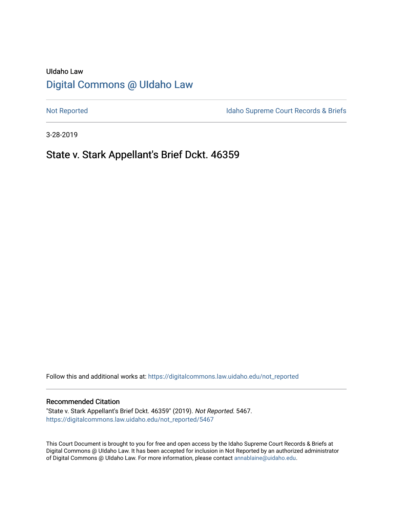# UIdaho Law [Digital Commons @ UIdaho Law](https://digitalcommons.law.uidaho.edu/)

[Not Reported](https://digitalcommons.law.uidaho.edu/not_reported) **Idaho Supreme Court Records & Briefs** 

3-28-2019

# State v. Stark Appellant's Brief Dckt. 46359

Follow this and additional works at: [https://digitalcommons.law.uidaho.edu/not\\_reported](https://digitalcommons.law.uidaho.edu/not_reported?utm_source=digitalcommons.law.uidaho.edu%2Fnot_reported%2F5467&utm_medium=PDF&utm_campaign=PDFCoverPages) 

#### Recommended Citation

"State v. Stark Appellant's Brief Dckt. 46359" (2019). Not Reported. 5467. [https://digitalcommons.law.uidaho.edu/not\\_reported/5467](https://digitalcommons.law.uidaho.edu/not_reported/5467?utm_source=digitalcommons.law.uidaho.edu%2Fnot_reported%2F5467&utm_medium=PDF&utm_campaign=PDFCoverPages)

This Court Document is brought to you for free and open access by the Idaho Supreme Court Records & Briefs at Digital Commons @ UIdaho Law. It has been accepted for inclusion in Not Reported by an authorized administrator of Digital Commons @ UIdaho Law. For more information, please contact [annablaine@uidaho.edu](mailto:annablaine@uidaho.edu).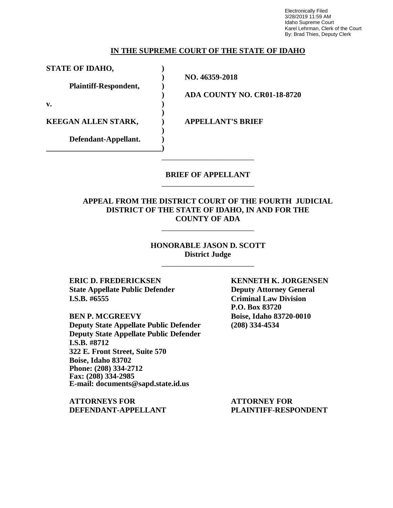Electronically Filed 3/28/2019 11:59 AM Idaho Supreme Court Karel Lehrman, Clerk of the Court By: Brad Thies, Deputy Clerk

#### **IN THE SUPREME COURT OF THE STATE OF IDAHO**

**STATE OF IDAHO, )**

**Plaintiff-Respondent, )**

**v. )**

**KEEGAN ALLEN STARK, ) APPELLANT'S BRIEF**

**Defendant-Appellant. ) \_\_\_\_\_\_\_\_\_\_\_\_\_\_\_\_\_\_\_\_\_\_\_\_\_\_\_\_\_\_)**

**) NO. 46359-2018**

**)**

**)**

**) ADA COUNTY NO. CR01-18-8720**

### **BRIEF OF APPELLANT** \_\_\_\_\_\_\_\_\_\_\_\_\_\_\_\_\_\_\_\_\_\_\_\_

\_\_\_\_\_\_\_\_\_\_\_\_\_\_\_\_\_\_\_\_\_\_\_\_

## **APPEAL FROM THE DISTRICT COURT OF THE FOURTH JUDICIAL DISTRICT OF THE STATE OF IDAHO, IN AND FOR THE COUNTY OF ADA**

\_\_\_\_\_\_\_\_\_\_\_\_\_\_\_\_\_\_\_\_\_\_\_\_

### **HONORABLE JASON D. SCOTT District Judge**

\_\_\_\_\_\_\_\_\_\_\_\_\_\_\_\_\_\_\_\_\_\_\_\_

**ERIC D. FREDERICKSEN KENNETH K. JORGENSEN State Appellate Public Defender Deputy Attorney General I.S.B. #6555 Criminal Law Division**

**BEN P. MCGREEVY Boise, Idaho 83720-0010 Deputy State Appellate Public Defender (208) 334-4534 Deputy State Appellate Public Defender I.S.B. #8712 322 E. Front Street, Suite 570 Boise, Idaho 83702 Phone: (208) 334-2712 Fax: (208) 334-2985 E-mail: documents@sapd.state.id.us**

**ATTORNEYS FOR ATTORNEY FOR DEFENDANT-APPELLANT PLAINTIFF-RESPONDENT**

**P.O. Box 83720**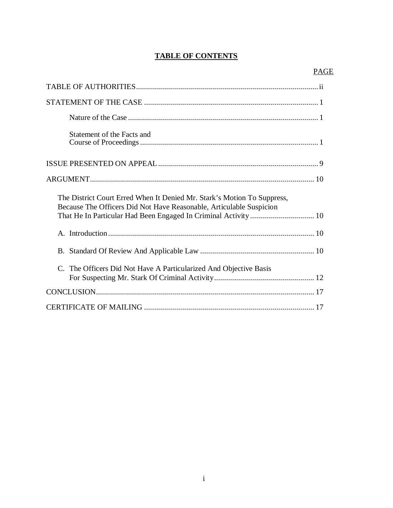# **TABLE OF CONTENTS**

| Statement of the Facts and                                                                                                                     |
|------------------------------------------------------------------------------------------------------------------------------------------------|
|                                                                                                                                                |
|                                                                                                                                                |
| The District Court Erred When It Denied Mr. Stark's Motion To Suppress,<br>Because The Officers Did Not Have Reasonable, Articulable Suspicion |
|                                                                                                                                                |
|                                                                                                                                                |
| C. The Officers Did Not Have A Particularized And Objective Basis                                                                              |
|                                                                                                                                                |
|                                                                                                                                                |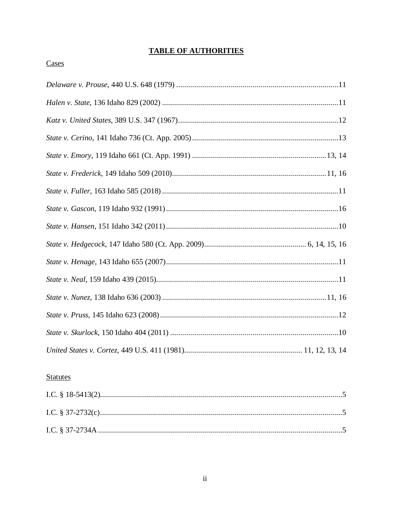# **TABLE OF AUTHORITIES**

# Cases

# **Statutes**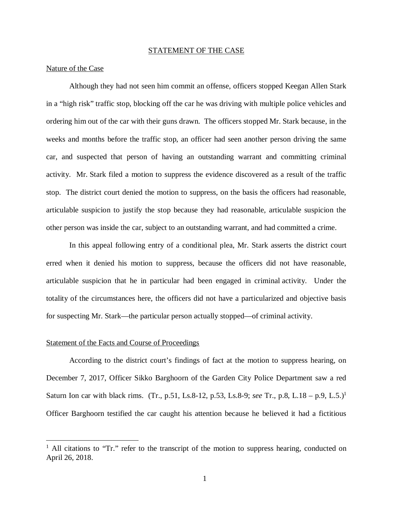#### STATEMENT OF THE CASE

#### Nature of the Case

Although they had not seen him commit an offense, officers stopped Keegan Allen Stark in a "high risk" traffic stop, blocking off the car he was driving with multiple police vehicles and ordering him out of the car with their guns drawn. The officers stopped Mr. Stark because, in the weeks and months before the traffic stop, an officer had seen another person driving the same car, and suspected that person of having an outstanding warrant and committing criminal activity. Mr. Stark filed a motion to suppress the evidence discovered as a result of the traffic stop. The district court denied the motion to suppress, on the basis the officers had reasonable, articulable suspicion to justify the stop because they had reasonable, articulable suspicion the other person was inside the car, subject to an outstanding warrant, and had committed a crime.

In this appeal following entry of a conditional plea, Mr. Stark asserts the district court erred when it denied his motion to suppress, because the officers did not have reasonable, articulable suspicion that he in particular had been engaged in criminal activity. Under the totality of the circumstances here, the officers did not have a particularized and objective basis for suspecting Mr. Stark—the particular person actually stopped—of criminal activity.

#### Statement of the Facts and Course of Proceedings

According to the district court's findings of fact at the motion to suppress hearing, on December 7, 2017, Officer Sikko Barghoorn of the Garden City Police Department saw a red Saturn Ion car with black rims. (Tr., p.51, Ls.8-12, p.53, Ls.8-9; *see* Tr., p.8, L.18 – p.9, L.5.)[1](#page-4-0) Officer Barghoorn testified the car caught his attention because he believed it had a fictitious

<span id="page-4-0"></span><sup>&</sup>lt;sup>1</sup> All citations to "Tr." refer to the transcript of the motion to suppress hearing, conducted on April 26, 2018.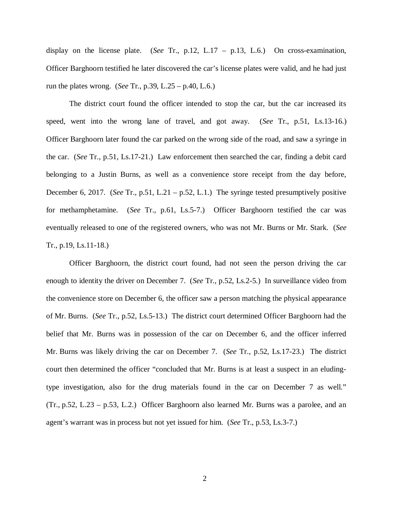display on the license plate. (*See* Tr., p.12, L.17 – p.13, L.6.) On cross-examination, Officer Barghoorn testified he later discovered the car's license plates were valid, and he had just run the plates wrong. (*See* Tr., p.39, L.25 – p.40, L.6.)

The district court found the officer intended to stop the car, but the car increased its speed, went into the wrong lane of travel, and got away. (*See* Tr., p.51, Ls.13-16.) Officer Barghoorn later found the car parked on the wrong side of the road, and saw a syringe in the car. (*See* Tr., p.51, Ls.17-21.) Law enforcement then searched the car, finding a debit card belonging to a Justin Burns, as well as a convenience store receipt from the day before, December 6, 2017. (*See* Tr., p.51, L.21 – p.52, L.1.) The syringe tested presumptively positive for methamphetamine. (*See* Tr., p.61, Ls.5-7.) Officer Barghoorn testified the car was eventually released to one of the registered owners, who was not Mr. Burns or Mr. Stark. (*See* Tr., p.19, Ls.11-18.)

Officer Barghoorn, the district court found, had not seen the person driving the car enough to identity the driver on December 7. (*See* Tr., p.52, Ls.2-5.) In surveillance video from the convenience store on December 6, the officer saw a person matching the physical appearance of Mr. Burns. (*See* Tr., p.52, Ls.5-13.) The district court determined Officer Barghoorn had the belief that Mr. Burns was in possession of the car on December 6, and the officer inferred Mr. Burns was likely driving the car on December 7. (*See* Tr., p.52, Ls.17-23.) The district court then determined the officer "concluded that Mr. Burns is at least a suspect in an eludingtype investigation, also for the drug materials found in the car on December 7 as well." (Tr., p.52, L.23 – p.53, L.2.) Officer Barghoorn also learned Mr. Burns was a parolee, and an agent's warrant was in process but not yet issued for him. (*See* Tr., p.53, Ls.3-7.)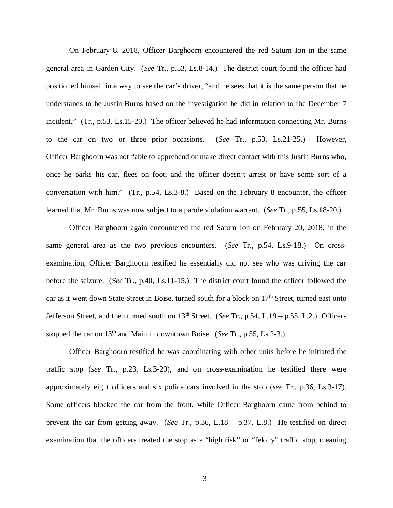On February 8, 2018, Officer Barghoorn encountered the red Saturn Ion in the same general area in Garden City. (*See* Tr., p.53, Ls.8-14.) The district court found the officer had positioned himself in a way to see the car's driver, "and he sees that it is the same person that he understands to be Justin Burns based on the investigation he did in relation to the December 7 incident." (Tr., p.53, Ls.15-20.) The officer believed he had information connecting Mr. Burns to the car on two or three prior occasions. (*See* Tr., p.53, Ls.21-25.) However, Officer Barghoorn was not "able to apprehend or make direct contact with this Justin Burns who, once he parks his car, flees on foot, and the officer doesn't arrest or have some sort of a conversation with him." (Tr., p.54, Ls.3-8.) Based on the February 8 encounter, the officer learned that Mr. Burns was now subject to a parole violation warrant. (*See* Tr., p.55, Ls.18-20.)

Officer Barghoorn again encountered the red Saturn Ion on February 20, 2018, in the same general area as the two previous encounters. (*See* Tr., p.54, Ls.9-18.) On crossexamination, Officer Barghoorn testified he essentially did not see who was driving the car before the seizure. (*See* Tr., p.40, Ls.11-15.) The district court found the officer followed the car as it went down State Street in Boise, turned south for a block on 17<sup>th</sup> Street, turned east onto Jefferson Street, and then turned south on 13<sup>th</sup> Street. (*See* Tr., p.54, L.19 – p.55, L.2.) Officers stopped the car on 13th and Main in downtown Boise. (*See* Tr., p.55, Ls.2-3.)

Officer Barghoorn testified he was coordinating with other units before he initiated the traffic stop (*see* Tr., p.23, Ls.3-20), and on cross-examination he testified there were approximately eight officers and six police cars involved in the stop (*see* Tr., p.36, Ls.3-17). Some officers blocked the car from the front, while Officer Barghoorn came from behind to prevent the car from getting away. (*See* Tr., p.36, L.18 – p.37, L.8.) He testified on direct examination that the officers treated the stop as a "high risk" or "felony" traffic stop, meaning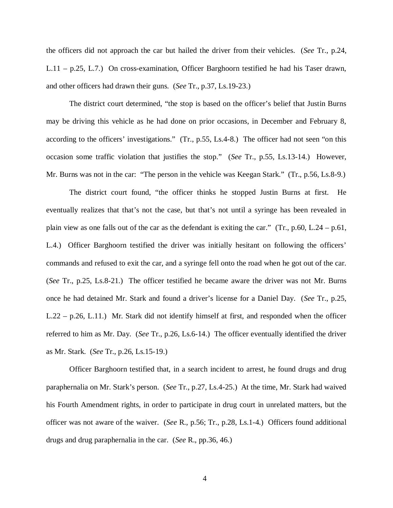the officers did not approach the car but hailed the driver from their vehicles. (*See* Tr., p.24, L.11 – p.25, L.7.) On cross-examination, Officer Barghoorn testified he had his Taser drawn, and other officers had drawn their guns. (*See* Tr., p.37, Ls.19-23.)

The district court determined, "the stop is based on the officer's belief that Justin Burns may be driving this vehicle as he had done on prior occasions, in December and February 8, according to the officers' investigations." (Tr., p.55, Ls.4-8.) The officer had not seen "on this occasion some traffic violation that justifies the stop." (*See* Tr., p.55, Ls.13-14.) However, Mr. Burns was not in the car: "The person in the vehicle was Keegan Stark." (Tr., p.56, Ls.8-9.)

The district court found, "the officer thinks he stopped Justin Burns at first. He eventually realizes that that's not the case, but that's not until a syringe has been revealed in plain view as one falls out of the car as the defendant is exiting the car." (Tr., p.60, L.24 – p.61, L.4.) Officer Barghoorn testified the driver was initially hesitant on following the officers' commands and refused to exit the car, and a syringe fell onto the road when he got out of the car. (*See* Tr., p.25, Ls.8-21.) The officer testified he became aware the driver was not Mr. Burns once he had detained Mr. Stark and found a driver's license for a Daniel Day. (*See* Tr., p.25, L.22 – p.26, L.11.) Mr. Stark did not identify himself at first, and responded when the officer referred to him as Mr. Day. (*See* Tr., p.26, Ls.6-14.) The officer eventually identified the driver as Mr. Stark. (*See* Tr., p.26, Ls.15-19.)

Officer Barghoorn testified that, in a search incident to arrest, he found drugs and drug paraphernalia on Mr. Stark's person. (*See* Tr., p.27, Ls.4-25.) At the time, Mr. Stark had waived his Fourth Amendment rights, in order to participate in drug court in unrelated matters, but the officer was not aware of the waiver. (*See* R., p.56; Tr., p.28, Ls.1-4.) Officers found additional drugs and drug paraphernalia in the car. (*See* R., pp.36, 46.)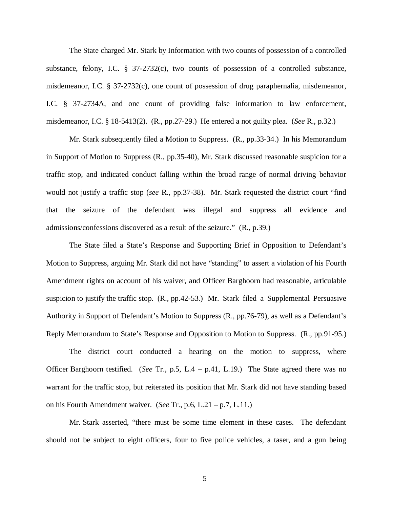The State charged Mr. Stark by Information with two counts of possession of a controlled substance, felony, I.C. § 37-2732(c), two counts of possession of a controlled substance, misdemeanor, I.C. § 37-2732(c), one count of possession of drug paraphernalia, misdemeanor, I.C. § 37-2734A, and one count of providing false information to law enforcement, misdemeanor, I.C. § 18-5413(2). (R., pp.27-29.) He entered a not guilty plea. (*See* R., p.32.)

Mr. Stark subsequently filed a Motion to Suppress. (R., pp.33-34.) In his Memorandum in Support of Motion to Suppress (R., pp.35-40), Mr. Stark discussed reasonable suspicion for a traffic stop, and indicated conduct falling within the broad range of normal driving behavior would not justify a traffic stop (*see* R., pp.37-38). Mr. Stark requested the district court "find that the seizure of the defendant was illegal and suppress all evidence and admissions/confessions discovered as a result of the seizure." (R., p.39.)

The State filed a State's Response and Supporting Brief in Opposition to Defendant's Motion to Suppress, arguing Mr. Stark did not have "standing" to assert a violation of his Fourth Amendment rights on account of his waiver, and Officer Barghoorn had reasonable, articulable suspicion to justify the traffic stop. (R., pp.42-53.) Mr. Stark filed a Supplemental Persuasive Authority in Support of Defendant's Motion to Suppress (R., pp.76-79), as well as a Defendant's Reply Memorandum to State's Response and Opposition to Motion to Suppress. (R., pp.91-95.)

The district court conducted a hearing on the motion to suppress, where Officer Barghoorn testified. (*See* Tr., p.5, L.4 – p.41, L.19.) The State agreed there was no warrant for the traffic stop, but reiterated its position that Mr. Stark did not have standing based on his Fourth Amendment waiver. (*See* Tr., p.6, L.21 – p.7, L.11.)

Mr. Stark asserted, "there must be some time element in these cases. The defendant should not be subject to eight officers, four to five police vehicles, a taser, and a gun being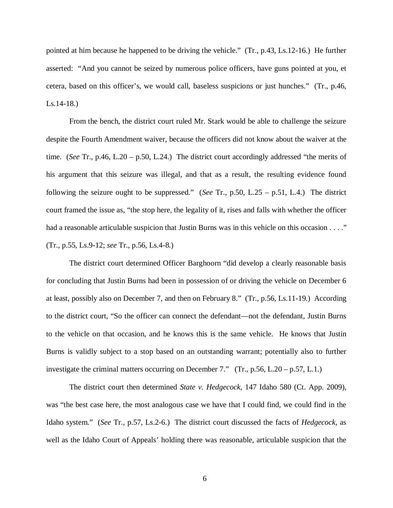pointed at him because he happened to be driving the vehicle." (Tr., p.43, Ls.12-16.) He further asserted: "And you cannot be seized by numerous police officers, have guns pointed at you, et cetera, based on this officer's, we would call, baseless suspicions or just hunches." (Tr., p.46, Ls.14-18.)

From the bench, the district court ruled Mr. Stark would be able to challenge the seizure despite the Fourth Amendment waiver, because the officers did not know about the waiver at the time. (*See* Tr., p.46, L.20 – p.50, L.24.) The district court accordingly addressed "the merits of his argument that this seizure was illegal, and that as a result, the resulting evidence found following the seizure ought to be suppressed." (*See* Tr., p.50, L.25 – p.51, L.4.) The district court framed the issue as, "the stop here, the legality of it, rises and falls with whether the officer had a reasonable articulable suspicion that Justin Burns was in this vehicle on this occasion . . . ." (Tr., p.55, Ls.9-12; *see* Tr., p.56, Ls.4-8.)

The district court determined Officer Barghoorn "did develop a clearly reasonable basis for concluding that Justin Burns had been in possession of or driving the vehicle on December 6 at least, possibly also on December 7, and then on February 8." (Tr., p.56, Ls.11-19.) According to the district court, "So the officer can connect the defendant—not the defendant, Justin Burns to the vehicle on that occasion, and he knows this is the same vehicle. He knows that Justin Burns is validly subject to a stop based on an outstanding warrant; potentially also to further investigate the criminal matters occurring on December 7." (Tr., p.56, L.20 – p.57, L.1.)

The district court then determined *State v. Hedgecock*, 147 Idaho 580 (Ct. App. 2009), was "the best case here, the most analogous case we have that I could find, we could find in the Idaho system." (*See* Tr., p.57, Ls.2-6.) The district court discussed the facts of *Hedgecock*, as well as the Idaho Court of Appeals' holding there was reasonable, articulable suspicion that the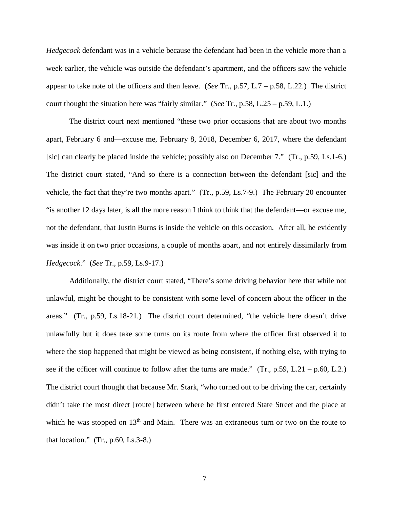*Hedgecock* defendant was in a vehicle because the defendant had been in the vehicle more than a week earlier, the vehicle was outside the defendant's apartment, and the officers saw the vehicle appear to take note of the officers and then leave. (*See* Tr., p.57, L.7 – p.58, L.22.) The district court thought the situation here was "fairly similar." (*See* Tr., p.58, L.25 – p.59, L.1.)

The district court next mentioned "these two prior occasions that are about two months apart, February 6 and—excuse me, February 8, 2018, December 6, 2017, where the defendant [sic] can clearly be placed inside the vehicle; possibly also on December 7." (Tr., p.59, Ls.1-6.) The district court stated, "And so there is a connection between the defendant [sic] and the vehicle, the fact that they're two months apart." (Tr., p.59, Ls.7-9.) The February 20 encounter "is another 12 days later, is all the more reason I think to think that the defendant—or excuse me, not the defendant, that Justin Burns is inside the vehicle on this occasion. After all, he evidently was inside it on two prior occasions, a couple of months apart, and not entirely dissimilarly from *Hedgecock*." (*See* Tr., p.59, Ls.9-17.)

Additionally, the district court stated, "There's some driving behavior here that while not unlawful, might be thought to be consistent with some level of concern about the officer in the areas." (Tr., p.59, Ls.18-21.) The district court determined, "the vehicle here doesn't drive unlawfully but it does take some turns on its route from where the officer first observed it to where the stop happened that might be viewed as being consistent, if nothing else, with trying to see if the officer will continue to follow after the turns are made." (Tr., p.59, L.21 – p.60, L.2.) The district court thought that because Mr. Stark, "who turned out to be driving the car, certainly didn't take the most direct [route] between where he first entered State Street and the place at which he was stopped on  $13<sup>th</sup>$  and Main. There was an extraneous turn or two on the route to that location."  $(Tr., p.60, Ls.3-8.)$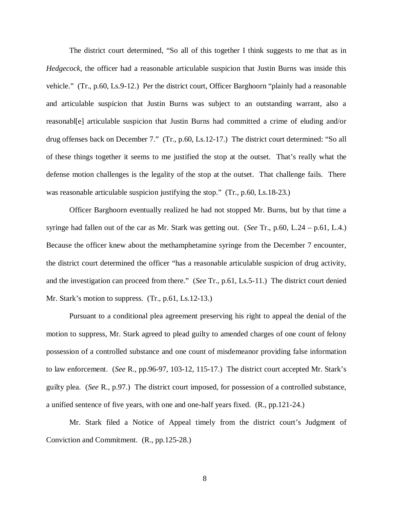The district court determined, "So all of this together I think suggests to me that as in *Hedgecock*, the officer had a reasonable articulable suspicion that Justin Burns was inside this vehicle." (Tr., p.60, Ls.9-12.) Per the district court, Officer Barghoorn "plainly had a reasonable and articulable suspicion that Justin Burns was subject to an outstanding warrant, also a reasonabl[e] articulable suspicion that Justin Burns had committed a crime of eluding and/or drug offenses back on December 7." (Tr., p.60, Ls.12-17.) The district court determined: "So all of these things together it seems to me justified the stop at the outset. That's really what the defense motion challenges is the legality of the stop at the outset. That challenge fails. There was reasonable articulable suspicion justifying the stop." (Tr., p.60, Ls.18-23.)

Officer Barghoorn eventually realized he had not stopped Mr. Burns, but by that time a syringe had fallen out of the car as Mr. Stark was getting out. (*See* Tr., p.60, L.24 – p.61, L.4.) Because the officer knew about the methamphetamine syringe from the December 7 encounter, the district court determined the officer "has a reasonable articulable suspicion of drug activity, and the investigation can proceed from there." (*See* Tr., p.61, Ls.5-11.) The district court denied Mr. Stark's motion to suppress. (Tr., p.61, Ls.12-13.)

Pursuant to a conditional plea agreement preserving his right to appeal the denial of the motion to suppress, Mr. Stark agreed to plead guilty to amended charges of one count of felony possession of a controlled substance and one count of misdemeanor providing false information to law enforcement. (*See* R., pp.96-97, 103-12, 115-17.) The district court accepted Mr. Stark's guilty plea. (*See* R., p.97.) The district court imposed, for possession of a controlled substance, a unified sentence of five years, with one and one-half years fixed. (R., pp.121-24.)

Mr. Stark filed a Notice of Appeal timely from the district court's Judgment of Conviction and Commitment. (R., pp.125-28.)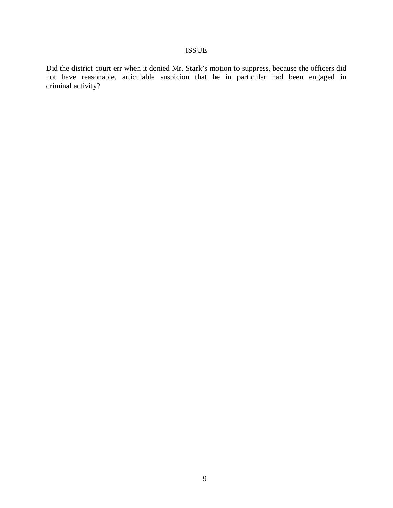# ISSUE

Did the district court err when it denied Mr. Stark's motion to suppress, because the officers did not have reasonable, articulable suspicion that he in particular had been engaged in criminal activity?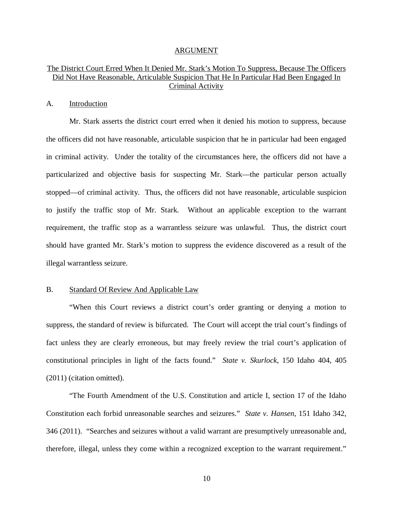#### ARGUMENT

## The District Court Erred When It Denied Mr. Stark's Motion To Suppress, Because The Officers Did Not Have Reasonable, Articulable Suspicion That He In Particular Had Been Engaged In Criminal Activity

#### A. Introduction

Mr. Stark asserts the district court erred when it denied his motion to suppress, because the officers did not have reasonable, articulable suspicion that he in particular had been engaged in criminal activity. Under the totality of the circumstances here, the officers did not have a particularized and objective basis for suspecting Mr. Stark—the particular person actually stopped—of criminal activity. Thus, the officers did not have reasonable, articulable suspicion to justify the traffic stop of Mr. Stark. Without an applicable exception to the warrant requirement, the traffic stop as a warrantless seizure was unlawful. Thus, the district court should have granted Mr. Stark's motion to suppress the evidence discovered as a result of the illegal warrantless seizure.

#### B. Standard Of Review And Applicable Law

"When this Court reviews a district court's order granting or denying a motion to suppress, the standard of review is bifurcated. The Court will accept the trial court's findings of fact unless they are clearly erroneous, but may freely review the trial court's application of constitutional principles in light of the facts found." *State v. Skurlock*, 150 Idaho 404, 405 (2011) (citation omitted).

"The Fourth Amendment of the U.S. Constitution and article I, section 17 of the Idaho Constitution each forbid unreasonable searches and seizures." *State v. Hansen*, 151 Idaho 342, 346 (2011). "Searches and seizures without a valid warrant are presumptively unreasonable and, therefore, illegal, unless they come within a recognized exception to the warrant requirement."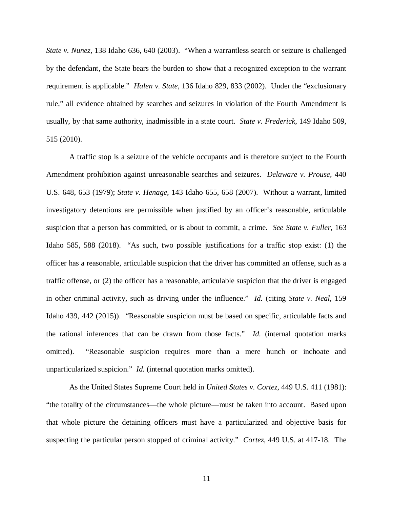*State v. Nunez*, 138 Idaho 636, 640 (2003). "When a warrantless search or seizure is challenged by the defendant, the State bears the burden to show that a recognized exception to the warrant requirement is applicable." *Halen v. State*, 136 Idaho 829, 833 (2002). Under the "exclusionary rule," all evidence obtained by searches and seizures in violation of the Fourth Amendment is usually, by that same authority, inadmissible in a state court. *State v. Frederick*, 149 Idaho 509, 515 (2010).

A traffic stop is a seizure of the vehicle occupants and is therefore subject to the Fourth Amendment prohibition against unreasonable searches and seizures. *Delaware v. Prouse*, 440 U.S. 648, 653 (1979); *State v. Henage*, 143 Idaho 655, 658 (2007). Without a warrant, limited investigatory detentions are permissible when justified by an officer's reasonable, articulable suspicion that a person has committed, or is about to commit, a crime. *See State v. Fuller*, 163 Idaho 585, 588 (2018). "As such, two possible justifications for a traffic stop exist: (1) the officer has a reasonable, articulable suspicion that the driver has committed an offense, such as a traffic offense, or (2) the officer has a reasonable, articulable suspicion that the driver is engaged in other criminal activity, such as driving under the influence." *Id.* (citing *State v. Neal*, 159 Idaho 439, 442 (2015)). "Reasonable suspicion must be based on specific, articulable facts and the rational inferences that can be drawn from those facts." *Id.* (internal quotation marks omitted). "Reasonable suspicion requires more than a mere hunch or inchoate and unparticularized suspicion." *Id.* (internal quotation marks omitted).

As the United States Supreme Court held in *United States v. Cortez*, 449 U.S. 411 (1981): "the totality of the circumstances—the whole picture—must be taken into account. Based upon that whole picture the detaining officers must have a particularized and objective basis for suspecting the particular person stopped of criminal activity." *Cortez*, 449 U.S. at 417-18. The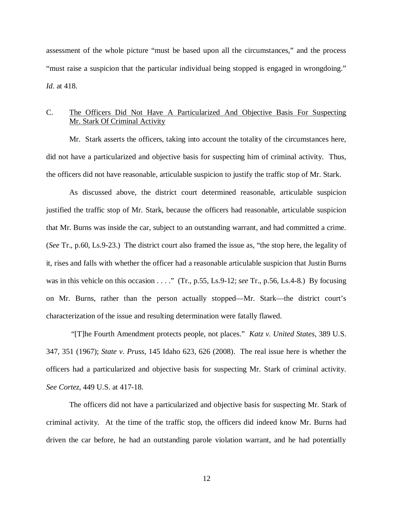assessment of the whole picture "must be based upon all the circumstances," and the process "must raise a suspicion that the particular individual being stopped is engaged in wrongdoing." *Id.* at 418.

### C. The Officers Did Not Have A Particularized And Objective Basis For Suspecting Mr. Stark Of Criminal Activity

Mr. Stark asserts the officers, taking into account the totality of the circumstances here, did not have a particularized and objective basis for suspecting him of criminal activity. Thus, the officers did not have reasonable, articulable suspicion to justify the traffic stop of Mr. Stark.

As discussed above, the district court determined reasonable, articulable suspicion justified the traffic stop of Mr. Stark, because the officers had reasonable, articulable suspicion that Mr. Burns was inside the car, subject to an outstanding warrant, and had committed a crime. (*See* Tr., p.60, Ls.9-23.) The district court also framed the issue as, "the stop here, the legality of it, rises and falls with whether the officer had a reasonable articulable suspicion that Justin Burns was in this vehicle on this occasion . . . . " (Tr., p.55, Ls.9-12; *see* Tr., p.56, Ls.4-8.) By focusing on Mr. Burns, rather than the person actually stopped—Mr. Stark—the district court's characterization of the issue and resulting determination were fatally flawed.

 "[T]he Fourth Amendment protects people, not places." *Katz v. United States*, 389 U.S. 347, 351 (1967); *State v. Pruss*, 145 Idaho 623, 626 (2008). The real issue here is whether the officers had a particularized and objective basis for suspecting Mr. Stark of criminal activity. *See Cortez*, 449 U.S. at 417-18.

The officers did not have a particularized and objective basis for suspecting Mr. Stark of criminal activity. At the time of the traffic stop, the officers did indeed know Mr. Burns had driven the car before, he had an outstanding parole violation warrant, and he had potentially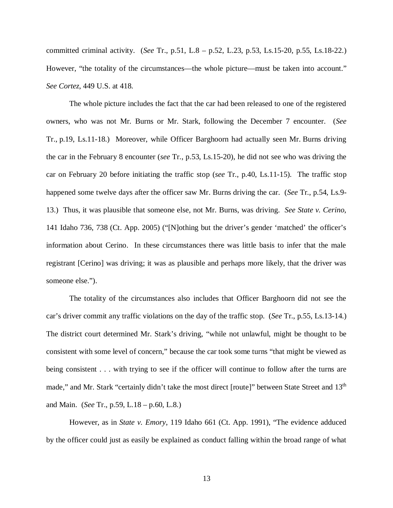committed criminal activity. (*See* Tr., p.51, L.8 – p.52, L.23, p.53, Ls.15-20, p.55, Ls.18-22.) However, "the totality of the circumstances—the whole picture—must be taken into account." *See Cortez*, 449 U.S. at 418.

The whole picture includes the fact that the car had been released to one of the registered owners, who was not Mr. Burns or Mr. Stark, following the December 7 encounter. (*See* Tr., p.19, Ls.11-18.) Moreover, while Officer Barghoorn had actually seen Mr. Burns driving the car in the February 8 encounter (*see* Tr., p.53, Ls.15-20), he did not see who was driving the car on February 20 before initiating the traffic stop (*see* Tr., p.40, Ls.11-15). The traffic stop happened some twelve days after the officer saw Mr. Burns driving the car. (*See* Tr., p.54, Ls.9- 13.) Thus, it was plausible that someone else, not Mr. Burns, was driving. *See State v. Cerino*, 141 Idaho 736, 738 (Ct. App. 2005) ("[N]othing but the driver's gender 'matched' the officer's information about Cerino. In these circumstances there was little basis to infer that the male registrant [Cerino] was driving; it was as plausible and perhaps more likely, that the driver was someone else.").

The totality of the circumstances also includes that Officer Barghoorn did not see the car's driver commit any traffic violations on the day of the traffic stop. (*See* Tr., p.55, Ls.13-14.) The district court determined Mr. Stark's driving, "while not unlawful, might be thought to be consistent with some level of concern," because the car took some turns "that might be viewed as being consistent . . . with trying to see if the officer will continue to follow after the turns are made," and Mr. Stark "certainly didn't take the most direct [route]" between State Street and 13<sup>th</sup> and Main. (*See* Tr., p.59, L.18 – p.60, L.8.)

However, as in *State v. Emory*, 119 Idaho 661 (Ct. App. 1991), "The evidence adduced by the officer could just as easily be explained as conduct falling within the broad range of what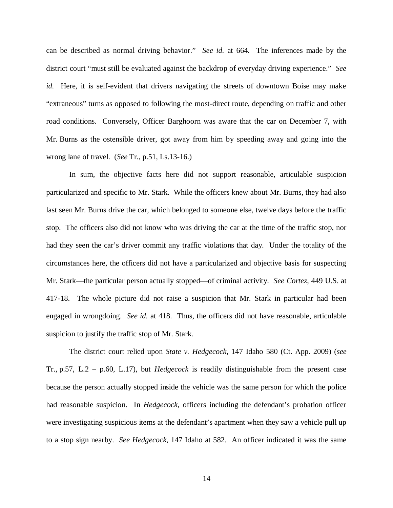can be described as normal driving behavior." *See id.* at 664. The inferences made by the district court "must still be evaluated against the backdrop of everyday driving experience." *See id.* Here, it is self-evident that drivers navigating the streets of downtown Boise may make "extraneous" turns as opposed to following the most-direct route, depending on traffic and other road conditions. Conversely, Officer Barghoorn was aware that the car on December 7, with Mr. Burns as the ostensible driver, got away from him by speeding away and going into the wrong lane of travel. (*See* Tr., p.51, Ls.13-16.)

In sum, the objective facts here did not support reasonable, articulable suspicion particularized and specific to Mr. Stark. While the officers knew about Mr. Burns, they had also last seen Mr. Burns drive the car, which belonged to someone else, twelve days before the traffic stop. The officers also did not know who was driving the car at the time of the traffic stop, nor had they seen the car's driver commit any traffic violations that day. Under the totality of the circumstances here, the officers did not have a particularized and objective basis for suspecting Mr. Stark—the particular person actually stopped—of criminal activity. *See Cortez*, 449 U.S. at 417-18. The whole picture did not raise a suspicion that Mr. Stark in particular had been engaged in wrongdoing. *See id.* at 418. Thus, the officers did not have reasonable, articulable suspicion to justify the traffic stop of Mr. Stark.

The district court relied upon *State v. Hedgecock*, 147 Idaho 580 (Ct. App. 2009) (*see* Tr., p.57, L.2 – p.60, L.17), but *Hedgecock* is readily distinguishable from the present case because the person actually stopped inside the vehicle was the same person for which the police had reasonable suspicion. In *Hedgecock*, officers including the defendant's probation officer were investigating suspicious items at the defendant's apartment when they saw a vehicle pull up to a stop sign nearby. *See Hedgecock*, 147 Idaho at 582. An officer indicated it was the same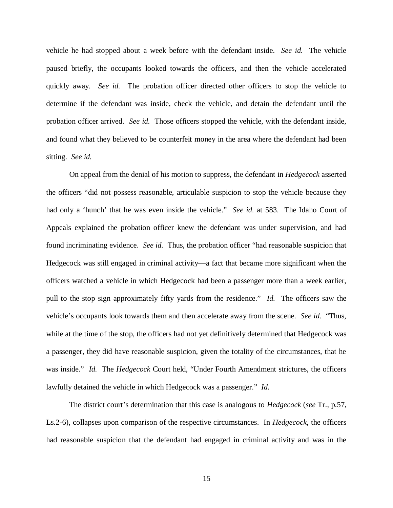vehicle he had stopped about a week before with the defendant inside. *See id.* The vehicle paused briefly, the occupants looked towards the officers, and then the vehicle accelerated quickly away. *See id.* The probation officer directed other officers to stop the vehicle to determine if the defendant was inside, check the vehicle, and detain the defendant until the probation officer arrived. *See id.* Those officers stopped the vehicle, with the defendant inside, and found what they believed to be counterfeit money in the area where the defendant had been sitting. *See id.*

On appeal from the denial of his motion to suppress, the defendant in *Hedgecock* asserted the officers "did not possess reasonable, articulable suspicion to stop the vehicle because they had only a 'hunch' that he was even inside the vehicle." *See id.* at 583. The Idaho Court of Appeals explained the probation officer knew the defendant was under supervision, and had found incriminating evidence. *See id.* Thus, the probation officer "had reasonable suspicion that Hedgecock was still engaged in criminal activity—a fact that became more significant when the officers watched a vehicle in which Hedgecock had been a passenger more than a week earlier, pull to the stop sign approximately fifty yards from the residence." *Id.* The officers saw the vehicle's occupants look towards them and then accelerate away from the scene. *See id.* "Thus, while at the time of the stop, the officers had not yet definitively determined that Hedgecock was a passenger, they did have reasonable suspicion, given the totality of the circumstances, that he was inside." *Id.* The *Hedgecock* Court held, "Under Fourth Amendment strictures, the officers lawfully detained the vehicle in which Hedgecock was a passenger." *Id.*

The district court's determination that this case is analogous to *Hedgecock* (*see* Tr., p.57, Ls.2-6), collapses upon comparison of the respective circumstances. In *Hedgecock*, the officers had reasonable suspicion that the defendant had engaged in criminal activity and was in the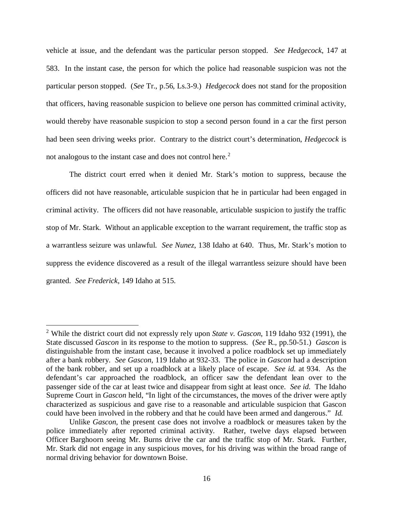vehicle at issue, and the defendant was the particular person stopped. *See Hedgecock*, 147 at 583. In the instant case, the person for which the police had reasonable suspicion was not the particular person stopped. (*See* Tr., p.56, Ls.3-9.) *Hedgecock* does not stand for the proposition that officers, having reasonable suspicion to believe one person has committed criminal activity, would thereby have reasonable suspicion to stop a second person found in a car the first person had been seen driving weeks prior. Contrary to the district court's determination, *Hedgecock* is not analogous to the instant case and does not control here.<sup>[2](#page-19-0)</sup>

The district court erred when it denied Mr. Stark's motion to suppress, because the officers did not have reasonable, articulable suspicion that he in particular had been engaged in criminal activity. The officers did not have reasonable, articulable suspicion to justify the traffic stop of Mr. Stark. Without an applicable exception to the warrant requirement, the traffic stop as a warrantless seizure was unlawful. *See Nunez*, 138 Idaho at 640. Thus, Mr. Stark's motion to suppress the evidence discovered as a result of the illegal warrantless seizure should have been granted. *See Frederick*, 149 Idaho at 515.

<span id="page-19-0"></span><sup>2</sup> While the district court did not expressly rely upon *State v. Gascon*, 119 Idaho 932 (1991), the State discussed *Gascon* in its response to the motion to suppress. (*See* R., pp.50-51.) *Gascon* is distinguishable from the instant case, because it involved a police roadblock set up immediately after a bank robbery. *See Gascon*, 119 Idaho at 932-33. The police in *Gascon* had a description of the bank robber, and set up a roadblock at a likely place of escape. *See id.* at 934. As the defendant's car approached the roadblock, an officer saw the defendant lean over to the passenger side of the car at least twice and disappear from sight at least once. *See id.* The Idaho Supreme Court in *Gascon* held, "In light of the circumstances, the moves of the driver were aptly characterized as suspicious and gave rise to a reasonable and articulable suspicion that Gascon could have been involved in the robbery and that he could have been armed and dangerous." *Id.*

Unlike *Gascon*, the present case does not involve a roadblock or measures taken by the police immediately after reported criminal activity. Rather, twelve days elapsed between Officer Barghoorn seeing Mr. Burns drive the car and the traffic stop of Mr. Stark. Further, Mr. Stark did not engage in any suspicious moves, for his driving was within the broad range of normal driving behavior for downtown Boise.